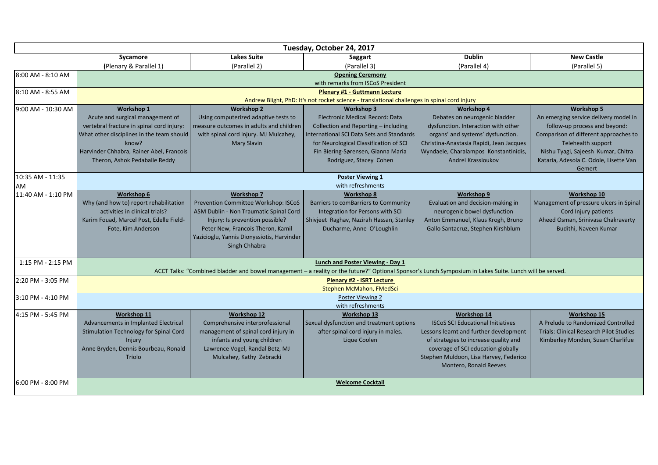| Tuesday, October 24, 2017 |                                                                                                                                                                                             |                                                             |                                           |                                          |                                                |  |  |  |
|---------------------------|---------------------------------------------------------------------------------------------------------------------------------------------------------------------------------------------|-------------------------------------------------------------|-------------------------------------------|------------------------------------------|------------------------------------------------|--|--|--|
|                           | <b>Sycamore</b>                                                                                                                                                                             | <b>Lakes Suite</b>                                          | Saggart                                   | <b>Dublin</b>                            | <b>New Castle</b>                              |  |  |  |
|                           | (Plenary & Parallel 1)                                                                                                                                                                      | (Parallel 2)                                                | (Parallel 3)                              | (Parallel 4)                             | (Parallel 5)                                   |  |  |  |
| 8:00 AM - 8:10 AM         |                                                                                                                                                                                             |                                                             | <b>Opening Ceremony</b>                   |                                          |                                                |  |  |  |
|                           | with remarks from ISCoS President                                                                                                                                                           |                                                             |                                           |                                          |                                                |  |  |  |
| 8:10 AM - 8:55 AM         | <b>Plenary #1 - Guttmann Lecture</b>                                                                                                                                                        |                                                             |                                           |                                          |                                                |  |  |  |
|                           | Andrew Blight, PhD: It's not rocket science - translational challenges in spinal cord injury                                                                                                |                                                             |                                           |                                          |                                                |  |  |  |
| 9:00 AM - 10:30 AM        | Workshop 1                                                                                                                                                                                  | <b>Workshop 2</b>                                           | <b>Workshop 3</b>                         | <b>Workshop 4</b>                        | <b>Workshop 5</b>                              |  |  |  |
|                           | Acute and surgical management of                                                                                                                                                            | Using computerized adaptive tests to                        | <b>Electronic Medical Record: Data</b>    | Debates on neurogenic bladder            | An emerging service delivery model in          |  |  |  |
|                           | vertebral fracture in spinal cord injury:                                                                                                                                                   | measure outcomes in adults and children                     | Collection and Reporting - including      | dysfunction. Interaction with other      | follow-up process and beyond:                  |  |  |  |
|                           | What other disciplines in the team should                                                                                                                                                   | with spinal cord injury. MJ Mulcahey,                       | International SCI Data Sets and Standards | organs' and systems' dysfunction.        | Comparison of different approaches to          |  |  |  |
|                           | know?                                                                                                                                                                                       | <b>Mary Slavin</b>                                          | for Neurological Classification of SCI    | Christina-Anastasia Rapidi, Jean Jacques | Telehealth support                             |  |  |  |
|                           | Harvinder Chhabra, Rainer Abel, Francois                                                                                                                                                    |                                                             | Fin Biering-Sørensen, Gianna Maria        | Wyndaele, Charalampos Konstantinidis,    | Nishu Tyagi, Sajeesh Kumar, Chitra             |  |  |  |
|                           | Theron, Ashok Pedaballe Reddy                                                                                                                                                               |                                                             | Rodriguez, Stacey Cohen                   | Andrei Krassioukov                       | Kataria, Adesola C. Odole, Lisette Van         |  |  |  |
|                           |                                                                                                                                                                                             |                                                             |                                           |                                          | Gemert                                         |  |  |  |
| 10:35 AM - 11:35          | <b>Poster Viewing 1</b>                                                                                                                                                                     |                                                             |                                           |                                          |                                                |  |  |  |
| AM                        |                                                                                                                                                                                             |                                                             | with refreshments                         |                                          |                                                |  |  |  |
| 11:40 AM - 1:10 PM        | Workshop 6                                                                                                                                                                                  | <b>Workshop 7</b>                                           | <b>Workshop 8</b>                         | Workshop 9                               | <b>Workshop 10</b>                             |  |  |  |
|                           | Why (and how to) report rehabilitation                                                                                                                                                      | Prevention Committee Workshop: ISCoS                        | Barriers to comBarriers to Community      | Evaluation and decision-making in        | Management of pressure ulcers in Spinal        |  |  |  |
|                           | activities in clinical trials?                                                                                                                                                              | ASM Dublin - Non Traumatic Spinal Cord                      | Integration for Persons with SCI          | neurogenic bowel dysfunction             | Cord Injury patients                           |  |  |  |
|                           | Karim Fouad, Marcel Post, Edelle Field-                                                                                                                                                     | Injury: Is prevention possible?                             | Shivjeet Raghav, Nazirah Hassan, Stanley  | Anton Emmanuel, Klaus Krogh, Bruno       | Aheed Osman, Srinivasa Chakravarty             |  |  |  |
|                           | Fote, Kim Anderson                                                                                                                                                                          | Peter New, Francois Theron, Kamil                           | Ducharme, Anne O'Loughlin                 | Gallo Santacruz, Stephen Kirshblum       | Budithi, Naveen Kumar                          |  |  |  |
|                           |                                                                                                                                                                                             | Yazicioglu, Yannis Dionyssiotis, Harvinder<br>Singh Chhabra |                                           |                                          |                                                |  |  |  |
|                           |                                                                                                                                                                                             |                                                             |                                           |                                          |                                                |  |  |  |
| 1:15 PM - 2:15 PM         | Lunch and Poster Viewing - Day 1<br>ACCT Talks: "Combined bladder and bowel management - a reality or the future?" Optional Sponsor's Lunch Symposium in Lakes Suite. Lunch will be served. |                                                             |                                           |                                          |                                                |  |  |  |
|                           |                                                                                                                                                                                             |                                                             |                                           |                                          |                                                |  |  |  |
| 2:20 PM - 3:05 PM         |                                                                                                                                                                                             |                                                             | <b>Plenary #2 - ISRT Lecture</b>          |                                          |                                                |  |  |  |
|                           |                                                                                                                                                                                             |                                                             | Stephen McMahon, FMedSci                  |                                          |                                                |  |  |  |
| 3:10 PM - 4:10 PM         |                                                                                                                                                                                             |                                                             | Poster Viewing 2                          |                                          |                                                |  |  |  |
|                           |                                                                                                                                                                                             |                                                             |                                           |                                          |                                                |  |  |  |
| 4:15 PM - 5:45 PM         | <b>Workshop 11</b>                                                                                                                                                                          | <b>Workshop 12</b>                                          | <b>Workshop 13</b>                        | Workshop 14                              | <b>Workshop 15</b>                             |  |  |  |
|                           | Advancements in Implanted Electrical                                                                                                                                                        | Comprehensive interprofessional                             | Sexual dysfunction and treatment options  | <b>ISCoS SCI Educational Initiatives</b> | A Prelude to Randomized Controlled             |  |  |  |
|                           | <b>Stimulation Technology for Spinal Cord</b>                                                                                                                                               | management of spinal cord injury in                         | after spinal cord injury in males.        | Lessons learnt and further development   | <b>Trials: Clinical Research Pilot Studies</b> |  |  |  |
|                           | Injury                                                                                                                                                                                      | infants and young children                                  | Lique Coolen                              | of strategies to increase quality and    | Kimberley Monden, Susan Charlifue              |  |  |  |
|                           | Anne Bryden, Dennis Bourbeau, Ronald                                                                                                                                                        | Lawrence Vogel, Randal Betz, MJ                             |                                           | coverage of SCI education globally       |                                                |  |  |  |
|                           | Triolo                                                                                                                                                                                      | Mulcahey, Kathy Zebracki                                    |                                           | Stephen Muldoon, Lisa Harvey, Federico   |                                                |  |  |  |
|                           |                                                                                                                                                                                             |                                                             |                                           | Montero, Ronald Reeves                   |                                                |  |  |  |
|                           |                                                                                                                                                                                             |                                                             |                                           |                                          |                                                |  |  |  |
| 6:00 PM - 8:00 PM         |                                                                                                                                                                                             |                                                             | <b>Welcome Cocktail</b>                   |                                          |                                                |  |  |  |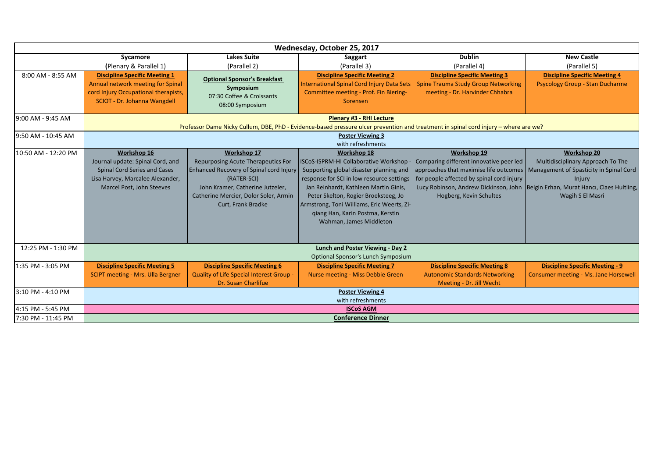| Wednesday, October 25, 2017 |                                                                                                                                                                  |                                                                                                                                                                                                                |                                                                                                                                                                                                                                                                                                                                                   |                                                                                                                                                                          |                                                                                                                                                                                                                        |  |  |
|-----------------------------|------------------------------------------------------------------------------------------------------------------------------------------------------------------|----------------------------------------------------------------------------------------------------------------------------------------------------------------------------------------------------------------|---------------------------------------------------------------------------------------------------------------------------------------------------------------------------------------------------------------------------------------------------------------------------------------------------------------------------------------------------|--------------------------------------------------------------------------------------------------------------------------------------------------------------------------|------------------------------------------------------------------------------------------------------------------------------------------------------------------------------------------------------------------------|--|--|
|                             | Sycamore                                                                                                                                                         | <b>Lakes Suite</b>                                                                                                                                                                                             | Saggart                                                                                                                                                                                                                                                                                                                                           | <b>Dublin</b>                                                                                                                                                            | <b>New Castle</b>                                                                                                                                                                                                      |  |  |
|                             | (Plenary & Parallel 1)                                                                                                                                           | (Parallel 2)                                                                                                                                                                                                   | (Parallel 3)                                                                                                                                                                                                                                                                                                                                      | (Parallel 4)                                                                                                                                                             | (Parallel 5)                                                                                                                                                                                                           |  |  |
| 8:00 AM - 8:55 AM           | <b>Discipline Specific Meeting 1</b><br>Annual network meeting for Spinal<br>cord Injury Occupational therapists,<br>SCIOT - Dr. Johanna Wangdell                | <b>Optional Sponsor's Breakfast</b><br>Symposium<br>07:30 Coffee & Croissants<br>08:00 Symposium                                                                                                               | <b>Discipline Specific Meeting 2</b><br>International Spinal Cord Injury Data Sets<br>Committee meeting - Prof. Fin Biering-<br>Sorensen                                                                                                                                                                                                          | <b>Discipline Specific Meeting 3</b><br><b>Spine Trauma Study Group Networking</b><br>meeting - Dr. Harvinder Chhabra                                                    | <b>Discipline Specific Meeting 4</b><br><b>Psycology Group - Stan Ducharme</b>                                                                                                                                         |  |  |
| 9:00 AM - 9:45 AM           | Plenary #3 - RHI Lecture<br>Professor Dame Nicky Cullum, DBE, PhD - Evidence-based pressure ulcer prevention and treatment in spinal cord injury - where are we? |                                                                                                                                                                                                                |                                                                                                                                                                                                                                                                                                                                                   |                                                                                                                                                                          |                                                                                                                                                                                                                        |  |  |
| 9:50 AM - 10:45 AM          | <b>Poster Viewing 3</b><br>with refreshments                                                                                                                     |                                                                                                                                                                                                                |                                                                                                                                                                                                                                                                                                                                                   |                                                                                                                                                                          |                                                                                                                                                                                                                        |  |  |
| 10:50 AM - 12:20 PM         | Workshop 16<br>Journal update: Spinal Cord, and<br><b>Spinal Cord Series and Cases</b><br>Lisa Harvey, Marcalee Alexander,<br>Marcel Post, John Steeves          | Workshop 17<br>Repurposing Acute Therapeutics For<br>Enhanced Recovery of Spinal cord Injury<br>(RATER-SCI)<br>John Kramer, Catherine Jutzeler,<br>Catherine Mercier, Dolor Soler, Armin<br>Curt, Frank Bradke | <b>Workshop 18</b><br>ISCoS-ISPRM-HI Collaborative Workshop<br>Supporting global disaster planning and<br>response for SCI in low resource settings<br>Jan Reinhardt, Kathleen Martin Ginis,<br>Peter Skelton, Rogier Broeksteeg, Jo<br>Armstrong, Toni Williams, Eric Weerts, Zi-<br>giang Han, Karin Postma, Kerstin<br>Wahman, James Middleton | Workshop 19<br>Comparing different innovative peer led<br>approaches that maximise life outcomes<br>for people affected by spinal cord injury<br>Hogberg, Kevin Schultes | <b>Workshop 20</b><br>Multidisciplinary Approach To The<br>Management of Spasticity in Spinal Cord<br>Injury<br>Lucy Robinson, Andrew Dickinson, John   Belgin Erhan, Murat Hancı, Claes Hultling,<br>Wagih S El Masri |  |  |
| 12:25 PM - 1:30 PM          | Lunch and Poster Viewing - Day 2<br>Optional Sponsor's Lunch Symposium                                                                                           |                                                                                                                                                                                                                |                                                                                                                                                                                                                                                                                                                                                   |                                                                                                                                                                          |                                                                                                                                                                                                                        |  |  |
| 1:35 PM - 3:05 PM           | <b>Discipline Specific Meeting 5</b><br><b>SCIPT meeting - Mrs. Ulla Bergner</b>                                                                                 | <b>Discipline Specific Meeting 6</b><br>Quality of Life Special Interest Group -<br>Dr. Susan Charlifue                                                                                                        | <b>Discipline Specific Meeting 7</b><br>Nurse meeting - Miss Debbie Green                                                                                                                                                                                                                                                                         | <b>Discipline Specific Meeting 8</b><br><b>Autonomic Standards Networking</b><br>Meeting - Dr. Jill Wecht                                                                | <b>Discipline Specific Meeting - 9</b><br>Consumer meeting - Ms. Jane Horsewell                                                                                                                                        |  |  |
| 3:10 PM - 4:10 PM           | <b>Poster Viewing 4</b><br>with refreshments                                                                                                                     |                                                                                                                                                                                                                |                                                                                                                                                                                                                                                                                                                                                   |                                                                                                                                                                          |                                                                                                                                                                                                                        |  |  |
| 4:15 PM - 5:45 PM           | <b>ISCoS AGM</b>                                                                                                                                                 |                                                                                                                                                                                                                |                                                                                                                                                                                                                                                                                                                                                   |                                                                                                                                                                          |                                                                                                                                                                                                                        |  |  |
| 7:30 PM - 11:45 PM          | <b>Conference Dinner</b>                                                                                                                                         |                                                                                                                                                                                                                |                                                                                                                                                                                                                                                                                                                                                   |                                                                                                                                                                          |                                                                                                                                                                                                                        |  |  |